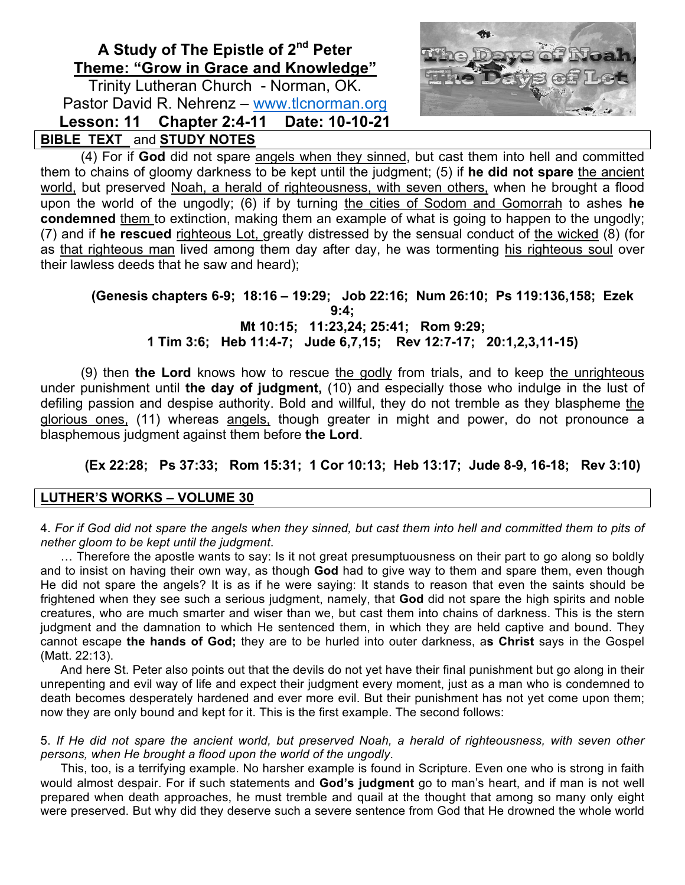# **A Study of The Epistle of 2nd Peter Theme: "Grow in Grace and Knowledge"**

Trinity Lutheran Church - Norman, OK. Pastor David R. Nehrenz – www.tlcnorman.org **Lesson: 11 Chapter 2:4-11 Date: 10-10-21 BIBLE TEXT** and **STUDY NOTES**



(4) For if **God** did not spare angels when they sinned, but cast them into hell and committed them to chains of gloomy darkness to be kept until the judgment; (5) if **he did not spare** the ancient world, but preserved Noah, a herald of righteousness, with seven others, when he brought a flood upon the world of the ungodly; (6) if by turning the cities of Sodom and Gomorrah to ashes **he condemned** them to extinction, making them an example of what is going to happen to the ungodly; (7) and if **he rescued** righteous Lot, greatly distressed by the sensual conduct of the wicked (8) (for as that righteous man lived among them day after day, he was tormenting his righteous soul over their lawless deeds that he saw and heard);

### **(Genesis chapters 6-9; 18:16 – 19:29; Job 22:16; Num 26:10; Ps 119:136,158; Ezek 9:4; Mt 10:15; 11:23,24; 25:41; Rom 9:29; 1 Tim 3:6; Heb 11:4-7; Jude 6,7,15; Rev 12:7-17; 20:1,2,3,11-15)**

(9) then **the Lord** knows how to rescue the godly from trials, and to keep the unrighteous under punishment until **the day of judgment,** (10) and especially those who indulge in the lust of defiling passion and despise authority. Bold and willful, they do not tremble as they blaspheme the glorious ones, (11) whereas angels, though greater in might and power, do not pronounce a blasphemous judgment against them before **the Lord**.

**(Ex 22:28; Ps 37:33; Rom 15:31; 1 Cor 10:13; Heb 13:17; Jude 8-9, 16-18; Rev 3:10)**

### **LUTHER'S WORKS – VOLUME 30**

4. *For if God did not spare the angels when they sinned, but cast them into hell and committed them to pits of nether gloom to be kept until the judgment*.

… Therefore the apostle wants to say: Is it not great presumptuousness on their part to go along so boldly and to insist on having their own way, as though **God** had to give way to them and spare them, even though He did not spare the angels? It is as if he were saying: It stands to reason that even the saints should be frightened when they see such a serious judgment, namely, that **God** did not spare the high spirits and noble creatures, who are much smarter and wiser than we, but cast them into chains of darkness. This is the stern judgment and the damnation to which He sentenced them, in which they are held captive and bound. They cannot escape **the hands of God;** they are to be hurled into outer darkness, a**s Christ** says in the Gospel (Matt. 22:13).

And here St. Peter also points out that the devils do not yet have their final punishment but go along in their unrepenting and evil way of life and expect their judgment every moment, just as a man who is condemned to death becomes desperately hardened and ever more evil. But their punishment has not yet come upon them; now they are only bound and kept for it. This is the first example. The second follows:

5. *If He did not spare the ancient world, but preserved Noah, a herald of righteousness, with seven other persons, when He brought a flood upon the world of the ungodly*.

This, too, is a terrifying example. No harsher example is found in Scripture. Even one who is strong in faith would almost despair. For if such statements and **God's judgment** go to man's heart, and if man is not well prepared when death approaches, he must tremble and quail at the thought that among so many only eight were preserved. But why did they deserve such a severe sentence from God that He drowned the whole world